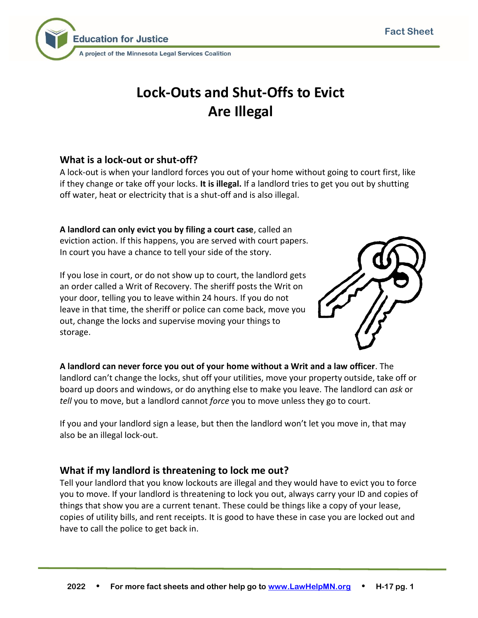

# **Lock-Outs and Shut-Offs to Evict Are Illegal**

## **What is a lock-out or shut-off?**

A lock-out is when your landlord forces you out of your home without going to court first, like if they change or take off your locks. **It is illegal.** If a landlord tries to get you out by shutting off water, heat or electricity that is a shut-off and is also illegal.

**A landlord can only evict you by filing a court case**, called an eviction action. If this happens, you are served with court papers. In court you have a chance to tell your side of the story.

If you lose in court, or do not show up to court, the landlord gets an order called a Writ of Recovery. The sheriff posts the Writ on your door, telling you to leave within 24 hours. If you do not leave in that time, the sheriff or police can come back, move you out, change the locks and supervise moving your things to storage.



**A landlord can never force you out of your home without a Writ and a law officer**. The landlord can't change the locks, shut off your utilities, move your property outside, take off or board up doors and windows, or do anything else to make you leave. The landlord can *ask* or *tell* you to move, but a landlord cannot *force* you to move unless they go to court.

If you and your landlord sign a lease, but then the landlord won't let you move in, that may also be an illegal lock-out.

## **What if my landlord is threatening to lock me out?**

Tell your landlord that you know lockouts are illegal and they would have to evict you to force you to move. If your landlord is threatening to lock you out, always carry your ID and copies of things that show you are a current tenant. These could be things like a copy of your lease, copies of utility bills, and rent receipts. It is good to have these in case you are locked out and have to call the police to get back in.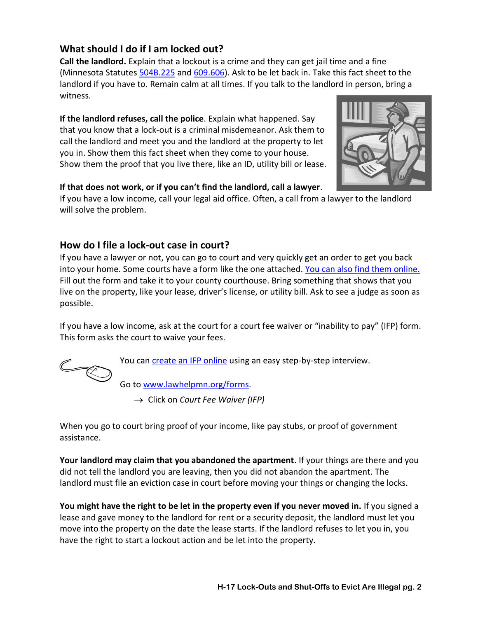## **What should I do if I am locked out?**

**Call the landlord.** Explain that a lockout is a crime and they can get jail time and a fine (Minnesota Statutes [504B.225](https://www.revisor.mn.gov/statutes/cite/504B.225) and [609.606\)](https://www.revisor.mn.gov/statutes/cite/609.606). Ask to be let back in. Take this fact sheet to the landlord if you have to. Remain calm at all times. If you talk to the landlord in person, bring a witness.

**If the landlord refuses, call the police**. Explain what happened. Say that you know that a lock-out is a criminal misdemeanor. Ask them to call the landlord and meet you and the landlord at the property to let you in. Show them this fact sheet when they come to your house. Show them the proof that you live there, like an ID, utility bill or lease.



#### **If that does not work, or if you can't find the landlord, call a lawyer**.

If you have a low income, call your legal aid office. Often, a call from a lawyer to the landlord will solve the problem.

## **How do I file a lock-out case in court?**

If you have a lawyer or not, you can go to court and very quickly get an order to get you back into your home. Some courts have a form like the one attached. [You can also find them online.](http://www.mncourts.gov/GetForms.aspx?c=23&f=377) Fill out the form and take it to your county courthouse. Bring something that shows that you live on the property, like your lease, driver's license, or utility bill. Ask to see a judge as soon as possible.

If you have a low income, ask at the court for a court fee waiver or "inability to pay" (IFP) form. This form asks the court to waive your fees.



You ca[n create an IFP online](http://www.lawhelpmn.org/self-help-library/legal-resource/court-fee-waiver-ifp-do-it-yourself) using an easy step-by-step interview.

Go to [www.lawhelpmn.org/forms.](http://www.lawhelpmn.org/forms)

→ Click on *[Court Fee Waiver](http://lawhelpmn.org/documents/clusters/mn/429/English/MN_IFP.shtml) (IFP)*

When you go to court bring proof of your income, like pay stubs, or proof of government assistance.

**Your landlord may claim that you abandoned the apartment**. If your things are there and you did not tell the landlord you are leaving, then you did not abandon the apartment. The landlord must file an eviction case in court before moving your things or changing the locks.

**You might have the right to be let in the property even if you never moved in.** If you signed a lease and gave money to the landlord for rent or a security deposit, the landlord must let you move into the property on the date the lease starts. If the landlord refuses to let you in, you have the right to start a lockout action and be let into the property.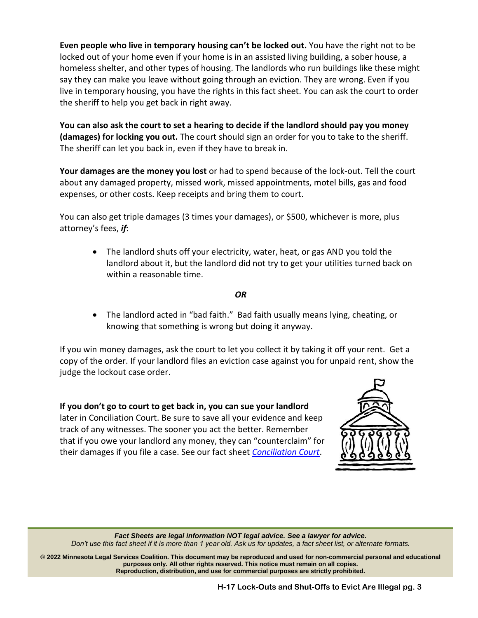**Even people who live in temporary housing can't be locked out.** You have the right not to be locked out of your home even if your home is in an assisted living building, a sober house, a homeless shelter, and other types of housing. The landlords who run buildings like these might say they can make you leave without going through an eviction. They are wrong. Even if you live in temporary housing, you have the rights in this fact sheet. You can ask the court to order the sheriff to help you get back in right away.

**You can also ask the court to set a hearing to decide if the landlord should pay you money (damages) for locking you out.** The court should sign an order for you to take to the sheriff. The sheriff can let you back in, even if they have to break in.

**Your damages are the money you lost** or had to spend because of the lock-out. Tell the court about any damaged property, missed work, missed appointments, motel bills, gas and food expenses, or other costs. Keep receipts and bring them to court.

You can also get triple damages (3 times your damages), or \$500, whichever is more, plus attorney's fees, *if*:

• The landlord shuts off your electricity, water, heat, or gas AND you told the landlord about it, but the landlord did not try to get your utilities turned back on within a reasonable time.

#### *OR*

• The landlord acted in "bad faith." Bad faith usually means lying, cheating, or knowing that something is wrong but doing it anyway.

If you win money damages, ask the court to let you collect it by taking it off your rent. Get a copy of the order. If your landlord files an eviction case against you for unpaid rent, show the judge the lockout case order.

**If you don't go to court to get back in, you can sue your landlord** later in Conciliation Court. Be sure to save all your evidence and keep track of any witnesses. The sooner you act the better. Remember that if you owe your landlord any money, they can "counterclaim" for their damages if you file a case. See our fact sheet *[Conciliation Court](http://www.lawhelpmn.org/self-help-library/fact-sheet/conciliation-court)*.



*Fact Sheets are legal information NOT legal advice. See a lawyer for advice. Don't use this fact sheet if it is more than 1 year old. Ask us for updates, a fact sheet list, or alternate formats.*

**© 2022 Minnesota Legal Services Coalition. This document may be reproduced and used for non-commercial personal and educational purposes only. All other rights reserved. This notice must remain on all copies. Reproduction, distribution, and use for commercial purposes are strictly prohibited.**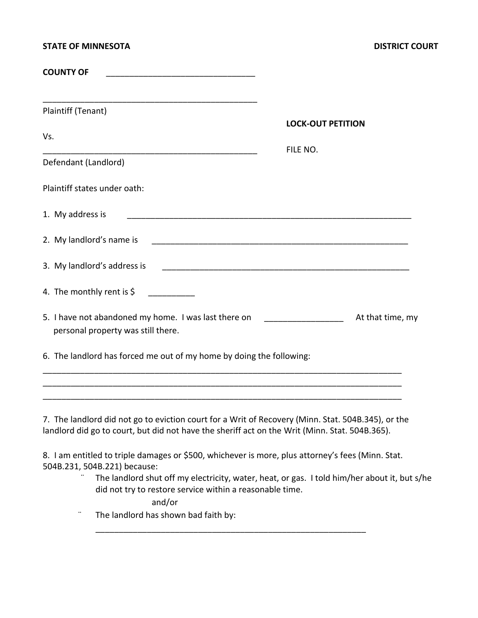| <b>STATE OF MINNESOTA</b>                                                                                                                                                                     |                                      | <b>DISTRICT COURT</b> |
|-----------------------------------------------------------------------------------------------------------------------------------------------------------------------------------------------|--------------------------------------|-----------------------|
| <b>COUNTY OF</b>                                                                                                                                                                              |                                      |                       |
| <u> 1980 - Johann Barn, mars ar breithinn ar chuid ann an t-Alban ann an t-Alban ann an t-Alban ann an t-Alban an</u><br>Plaintiff (Tenant)                                                   |                                      |                       |
| Vs.                                                                                                                                                                                           | <b>LOCK-OUT PETITION</b><br>FILE NO. |                       |
| Defendant (Landlord)                                                                                                                                                                          |                                      |                       |
| Plaintiff states under oath:                                                                                                                                                                  |                                      |                       |
| 1. My address is                                                                                                                                                                              |                                      |                       |
|                                                                                                                                                                                               |                                      |                       |
|                                                                                                                                                                                               |                                      |                       |
| 4. The monthly rent is $\zeta$                                                                                                                                                                |                                      |                       |
| 5. I have not abandoned my home. I was last there on ____________________<br>personal property was still there.                                                                               |                                      | At that time, my      |
| 6. The landlord has forced me out of my home by doing the following:<br><u> 1989 - Johann Stoff, deutscher Stoff, der Stoff, der Stoff, der Stoff, der Stoff, der Stoff, der Stoff, der S</u> |                                      |                       |
|                                                                                                                                                                                               |                                      |                       |
| 7. The landlord did not go to eviction court for a Writ of Recovery (Minn. Stat. 504B.345), or the                                                                                            |                                      |                       |

landlord did go to court, but did not have the sheriff act on the Writ (Minn. Stat. 504B.365).

8. I am entitled to triple damages or \$500, whichever is more, plus attorney's fees (Minn. Stat. 504B.231, 504B.221) because:

\_\_\_\_\_\_\_\_\_\_\_\_\_\_\_\_\_\_\_\_\_\_\_\_\_\_\_\_\_\_\_\_\_\_\_\_\_\_\_\_\_\_\_\_\_\_\_\_\_\_\_\_\_\_\_\_\_\_

The landlord shut off my electricity, water, heat, or gas. I told him/her about it, but s/he did not try to restore service within a reasonable time.

and/or

¨ The landlord has shown bad faith by: